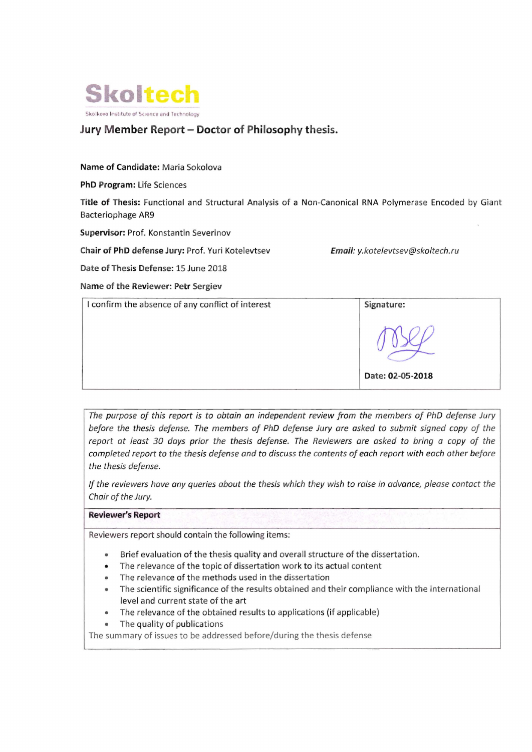

# **Jury M ember Report - Docto r of Philosophy** t hesis.

### Name of Candidate: Maria Sokolova

#### PhD Program: Life Sciences

Title of Thesis: Functional and Structural Analysis of a Non-Canonical RNA Polymerase Encoded by Giant Bacteriophage AR9

Supervisor: Prof. Konstantin Severinov

Chair of PhD defense Jury: Prof. Yuri Kotelevtsev **Finall:** y.kotelevtsev@skoltech.ru

Date of Thesis Defense: 15 June 2018

Name of the Reviewer: Petr Sergiev

| I confirm the absence of any conflict of interest | Signature:       |
|---------------------------------------------------|------------------|
|                                                   |                  |
|                                                   | Date: 02-05-2018 |

*The purpose of this report is to obtain an independent review from the members of PhD defense Jury* before the thesis defense. The members of PhD defense Jury are asked to submit signed copy of the *report at least 30 days prior the thesis defense. The Reviewers are asked to bring a copy of the completed report to the thesis defense and to discuss the contents of each report with each other before the thesis de/ense.* 

If the reviewers have any queries about the thesis which they wish to raise in advance, please contact the *Chair of the Jury.* 

## Reviewer's Report

Reviewers report should contain the following items:

- Brief evaluation of the thesis quality and overall structure of the dissertation.
- The relevance of the topic of dissertation work to its actual content
- The relevance of the methods used in the dissertation
- The scientific significance of the results obtained and their compliance with the international level and current state of the art
- The relevance of the obtained results to applications (if applicable)
- The quality of publications

The summary of issues to be addressed before/during the thesis defense